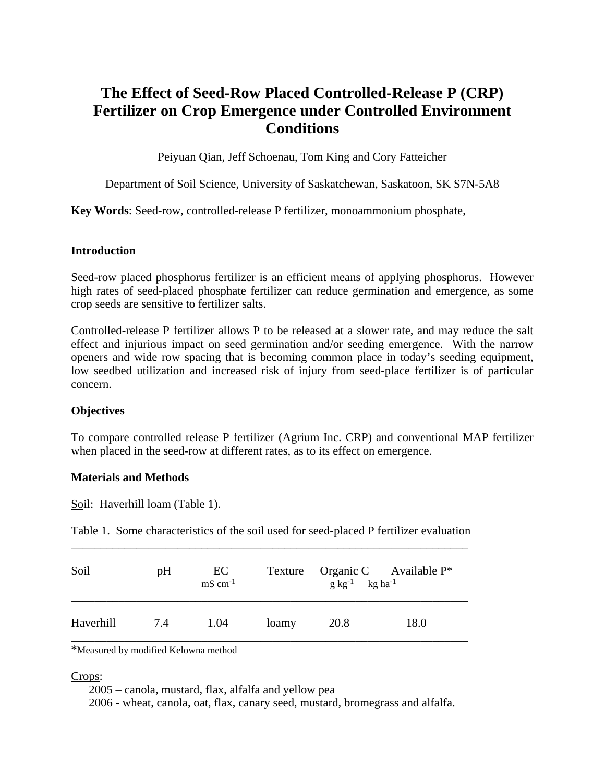# **The Effect of Seed-Row Placed Controlled-Release P (CRP) Fertilizer on Crop Emergence under Controlled Environment Conditions**

Peiyuan Qian, Jeff Schoenau, Tom King and Cory Fatteicher

Department of Soil Science, University of Saskatchewan, Saskatoon, SK S7N-5A8

**Key Words**: Seed-row, controlled-release P fertilizer, monoammonium phosphate,

## **Introduction**

Seed-row placed phosphorus fertilizer is an efficient means of applying phosphorus. However high rates of seed-placed phosphate fertilizer can reduce germination and emergence, as some crop seeds are sensitive to fertilizer salts.

Controlled-release P fertilizer allows P to be released at a slower rate, and may reduce the salt effect and injurious impact on seed germination and/or seeding emergence. With the narrow openers and wide row spacing that is becoming common place in today's seeding equipment, low seedbed utilization and increased risk of injury from seed-place fertilizer is of particular concern.

# **Objectives**

To compare controlled release P fertilizer (Agrium Inc. CRP) and conventional MAP fertilizer when placed in the seed-row at different rates, as to its effect on emergence.

## **Materials and Methods**

Soil: Haverhill loam (Table 1).

Table 1. Some characteristics of the soil used for seed-placed P fertilizer evaluation \_\_\_\_\_\_\_\_\_\_\_\_\_\_\_\_\_\_\_\_\_\_\_\_\_\_\_\_\_\_\_\_\_\_\_\_\_\_\_\_\_\_\_\_\_\_\_\_\_\_\_\_\_\_\_\_\_\_\_\_\_\_\_\_\_\_\_

| Soil      | pH  | EC<br>$mS$ cm <sup>-1</sup> |       | $g \text{ kg}^{-1}$ kg ha <sup>-1</sup> | Texture Organic C Available P* |
|-----------|-----|-----------------------------|-------|-----------------------------------------|--------------------------------|
| Haverhill | 7.4 | 1.04                        | loamy | 20.8                                    | 18.0                           |

\*Measured by modified Kelowna method

## Crops:

2005 – canola, mustard, flax, alfalfa and yellow pea

2006 - wheat, canola, oat, flax, canary seed, mustard, bromegrass and alfalfa.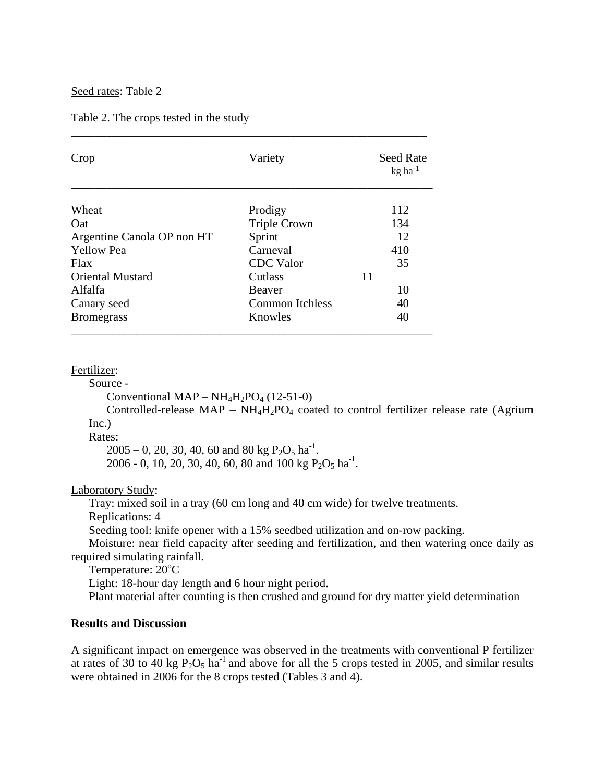Seed rates: Table 2

Table 2. The crops tested in the study

| Crop                       | Variety                | <b>Seed Rate</b><br>$kg$ ha <sup>-1</sup> |  |
|----------------------------|------------------------|-------------------------------------------|--|
| Wheat                      | Prodigy                | 112                                       |  |
| Oat                        | <b>Triple Crown</b>    | 134                                       |  |
| Argentine Canola OP non HT | Sprint                 | 12                                        |  |
| <b>Yellow Pea</b>          | Carneval               | 410                                       |  |
| <b>Flax</b>                | <b>CDC</b> Valor       | 35                                        |  |
| <b>Oriental Mustard</b>    | Cutlass                | 11                                        |  |
| Alfalfa                    | <b>Beaver</b>          | 10                                        |  |
| Canary seed                | <b>Common Itchless</b> | 40                                        |  |
| <b>Bromegrass</b>          | Knowles                | 40                                        |  |

\_\_\_\_\_\_\_\_\_\_\_\_\_\_\_\_\_\_\_\_\_\_\_\_\_\_\_\_\_\_\_\_\_\_\_\_\_\_\_\_\_\_\_\_\_\_\_\_\_\_\_\_\_\_\_\_\_\_\_\_

#### Fertilizer:

Source -

Conventional MAP –  $NH_4H_2PO_4$  (12-51-0)

Controlled-release  $MAP - NH<sub>4</sub>H<sub>2</sub>PO<sub>4</sub>$  coated to control fertilizer release rate (Agrium Inc.)

Rates:

 $2005 - 0$ , 20, 30, 40, 60 and 80 kg P<sub>2</sub>O<sub>5</sub> ha<sup>-1</sup>. 2006 - 0, 10, 20, 30, 40, 60, 80 and 100 kg  $P_2O_5$  ha<sup>-1</sup>.

Laboratory Study:

Tray: mixed soil in a tray (60 cm long and 40 cm wide) for twelve treatments.

Replications: 4

Seeding tool: knife opener with a 15% seedbed utilization and on-row packing.

 Moisture: near field capacity after seeding and fertilization, and then watering once daily as required simulating rainfall.

Temperature:  $20^{\circ}$ C

Light: 18-hour day length and 6 hour night period.

Plant material after counting is then crushed and ground for dry matter yield determination

#### **Results and Discussion**

A significant impact on emergence was observed in the treatments with conventional P fertilizer at rates of 30 to 40 kg  $P_2O_5$  ha<sup>-1</sup> and above for all the 5 crops tested in 2005, and similar results were obtained in 2006 for the 8 crops tested (Tables 3 and 4).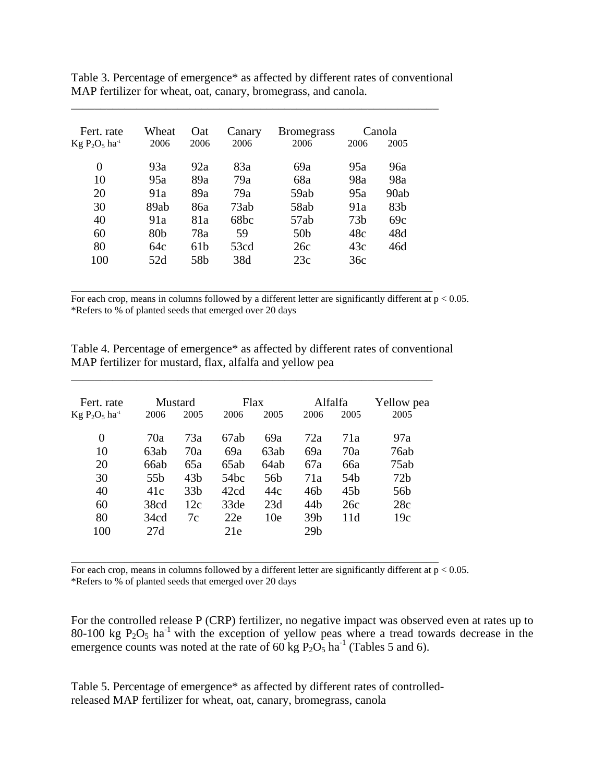| Fert. rate     | Wheat           | Oat             | Canary | <b>Bromegrass</b> | Canola          |                 |
|----------------|-----------------|-----------------|--------|-------------------|-----------------|-----------------|
| $Kg P2O5 ha-1$ | 2006            | 2006            | 2006   | 2006              | 2006            | 2005            |
| 0              | 93a             | 92a             | 83a    | 69a               | 95a             | 96a             |
| 10             | 95a             | 89a             | 79a    | 68a               | 98a             | 98a             |
| 20             | 91a             | 89a             | 79a    | 59ab              | 95a             | 90ab            |
| 30             | 89ab            | 86a             | 73ab   | 58ab              | 91a             | 83 <sub>b</sub> |
| 40             | 91a             | 81a             | 68bc   | 57ab              | 73 <sub>b</sub> | 69c             |
| 60             | 80 <sub>b</sub> | 78a             | 59     | 50 <sub>b</sub>   | 48c             | 48d             |
| 80             | 64c             | 61 <sub>b</sub> | 53cd   | 26c               | 43c             | 46d             |
| 100            | 52d             | 58b             | 38d    | 23c               | 36c             |                 |

Table 3. Percentage of emergence\* as affected by different rates of conventional MAP fertilizer for wheat, oat, canary, bromegrass, and canola.

\_\_\_\_\_\_\_\_\_\_\_\_\_\_\_\_\_\_\_\_\_\_\_\_\_\_\_\_\_\_\_\_\_\_\_\_\_\_\_\_\_\_\_\_\_\_\_\_\_\_\_\_\_\_\_\_\_\_\_\_\_\_

For each crop, means in columns followed by a different letter are significantly different at  $p < 0.05$ . \*Refers to % of planted seeds that emerged over 20 days

\_\_\_\_\_\_\_\_\_\_\_\_\_\_\_\_\_\_\_\_\_\_\_\_\_\_\_\_\_\_\_\_\_\_\_\_\_\_\_\_\_\_\_\_\_\_\_\_\_\_\_\_\_\_\_\_\_\_\_\_\_

Table 4. Percentage of emergence\* as affected by different rates of conventional MAP fertilizer for mustard, flax, alfalfa and yellow pea

\_\_\_\_\_\_\_\_\_\_\_\_\_\_\_\_\_\_\_\_\_\_\_\_\_\_\_\_\_\_\_\_\_\_\_\_\_\_\_\_\_\_\_\_\_\_\_\_\_\_\_\_\_\_\_\_\_\_\_\_\_

| Fert. rate                   |                 | Mustard         |      | Flax            | Alfalfa         |                 | Yellow pea      |
|------------------------------|-----------------|-----------------|------|-----------------|-----------------|-----------------|-----------------|
| $Kg P_2O_5$ ha <sup>-1</sup> | 2006            | 2005            | 2006 | 2005            | 2006            | 2005            | 2005            |
| 0                            | 70a             | 73a             | 67ab | 69a             | 72a             | 71a             | 97a             |
| 10                           | 63ab            | 70a             | 69a  | 63ab            | 69a             | 70a             | 76ab            |
| 20                           | 66ab            | 65a             | 65ab | 64ab            | 67a             | 66a             | 75ab            |
| 30                           | 55 <sub>b</sub> | 43 <sub>b</sub> | 54bc | 56b             | 71a             | 54 <sub>b</sub> | 72 <sub>b</sub> |
| 40                           | 41c             | 33 <sub>b</sub> | 42cd | 44c             | 46b             | 45 <sub>b</sub> | 56b             |
| 60                           | 38cd            | 12c             | 33de | 23d             | 44 <sub>b</sub> | 26c             | 28c             |
| 80                           | 34cd            | 7c              | 22e  | 10 <sub>e</sub> | 39 <sub>b</sub> | 11d             | 19c             |
| 100                          | 27d             |                 | 21e  |                 | 29 <sub>b</sub> |                 |                 |

\_\_\_\_\_\_\_\_\_\_\_\_\_\_\_\_\_\_\_\_\_\_\_\_\_\_\_\_\_\_\_\_\_\_\_\_\_\_\_\_\_\_\_\_\_\_\_\_\_\_\_\_\_\_\_\_\_\_\_\_\_\_ For each crop, means in columns followed by a different letter are significantly different at  $p < 0.05$ . \*Refers to % of planted seeds that emerged over 20 days

For the controlled release P (CRP) fertilizer, no negative impact was observed even at rates up to 80-100 kg  $P_2O_5$  ha<sup>-1</sup> with the exception of yellow peas where a tread towards decrease in the emergence counts was noted at the rate of  $60 \text{ kg } P_2O_5$  ha<sup>-1</sup> (Tables 5 and 6).

Table 5. Percentage of emergence\* as affected by different rates of controlledreleased MAP fertilizer for wheat, oat, canary, bromegrass, canola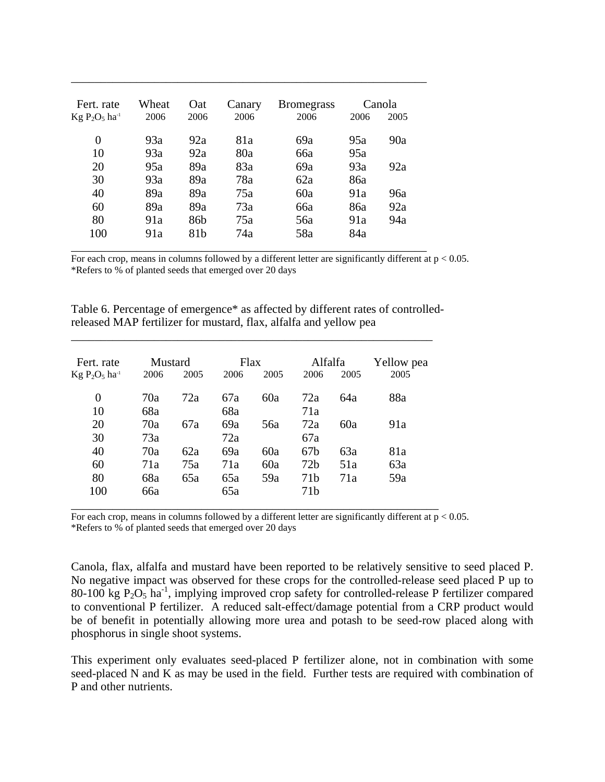| Fert. rate     | Wheat | <b>O</b> at     | Canary | <b>Bromegrass</b> |      | Canola |
|----------------|-------|-----------------|--------|-------------------|------|--------|
| $Kg P2O5 ha-1$ | 2006  | 2006            | 2006   | 2006              | 2006 | 2005   |
| 0              | 93a   | 92a             | 81a    | 69a               | 95a  | 90a    |
| 10             | 93a   | 92a             | 80a    | 66a               | 95a  |        |
| 20             | 95a   | 89a             | 83a    | 69a               | 93a  | 92a    |
| 30             | 93a   | 89a             | 78a    | 62a               | 86a  |        |
| 40             | 89a   | 89a             | 75a    | 60a               | 91a  | 96a    |
| 60             | 89a   | 89a             | 73a    | 66a               | 86a  | 92a    |
| 80             | 91a   | 86 <sub>b</sub> | 75a    | 56a               | 91a  | 94a    |
| 100            | 91a   | 81 <sub>b</sub> | 74a    | 58a               | 84a  |        |

\_\_\_\_\_\_\_\_\_\_\_\_\_\_\_\_\_\_\_\_\_\_\_\_\_\_\_\_\_\_\_\_\_\_\_\_\_\_\_\_\_\_\_\_\_\_\_\_\_\_\_\_\_\_\_\_\_\_\_\_

For each crop, means in columns followed by a different letter are significantly different at  $p < 0.05$ . \*Refers to % of planted seeds that emerged over 20 days

Table 6. Percentage of emergence\* as affected by different rates of controlledreleased MAP fertilizer for mustard, flax, alfalfa and yellow pea

\_\_\_\_\_\_\_\_\_\_\_\_\_\_\_\_\_\_\_\_\_\_\_\_\_\_\_\_\_\_\_\_\_\_\_\_\_\_\_\_\_\_\_\_\_\_\_\_\_\_\_\_\_\_\_\_\_\_\_\_\_

| Fert. rate<br>$Kg P2O5 ha-1$ | Mustard<br>2005<br>2006 |     | <b>Flax</b><br>2006<br>2005 |     | Alfalfa<br>2006<br>2005 |     | Yellow pea<br>2005 |
|------------------------------|-------------------------|-----|-----------------------------|-----|-------------------------|-----|--------------------|
| 0                            | 70a                     | 72a | 67a                         | 60a | 72a                     | 64a | 88a                |
| 10                           | 68a                     |     | 68a                         |     | 71a                     |     |                    |
| 20                           | 70a                     | 67a | 69a                         | 56a | 72a                     | 60a | 91a                |
| 30                           | 73a                     |     | 72a                         |     | 67a                     |     |                    |
| 40                           | 70a                     | 62a | 69a                         | 60a | 67b                     | 63a | 81a                |
| 60                           | 71a                     | 75a | 71a                         | 60a | 72 <sub>b</sub>         | 51a | 63a                |
| 80                           | 68a                     | 65a | 65a                         | 59a | 71 <sub>b</sub>         | 71a | 59a                |
| 100                          | 66a                     |     | 65a                         |     | 71 <sub>b</sub>         |     |                    |

For each crop, means in columns followed by a different letter are significantly different at  $p < 0.05$ . \*Refers to % of planted seeds that emerged over 20 days

Canola, flax, alfalfa and mustard have been reported to be relatively sensitive to seed placed P. No negative impact was observed for these crops for the controlled-release seed placed P up to 80-100 kg  $P_2O_5$  ha<sup>-1</sup>, implying improved crop safety for controlled-release P fertilizer compared to conventional P fertilizer. A reduced salt-effect/damage potential from a CRP product would be of benefit in potentially allowing more urea and potash to be seed-row placed along with phosphorus in single shoot systems.

This experiment only evaluates seed-placed P fertilizer alone, not in combination with some seed-placed N and K as may be used in the field. Further tests are required with combination of P and other nutrients.